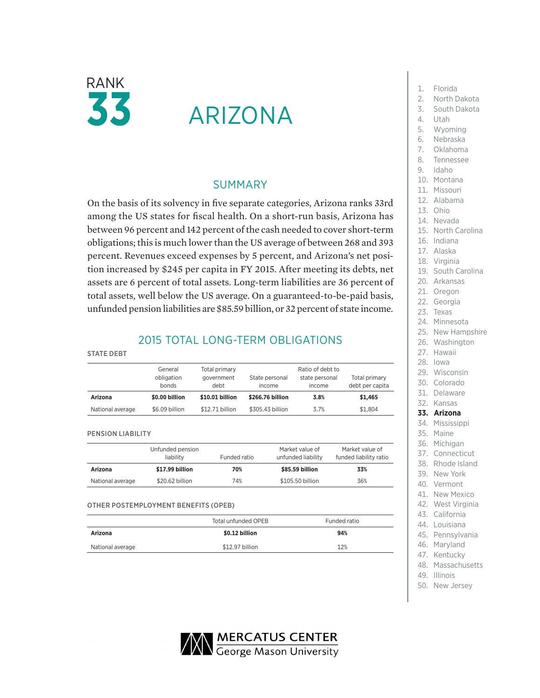

# ARIZONA

### SUMMARY

On the basis of its solvency in five separate categories, Arizona ranks 33rd among the US states for fiscal health. On a short-run basis, Arizona has between 96 percent and 142 percent of the cash needed to cover short-term obligations; this is much lower than the US average of between 268 and 393 percent. Revenues exceed expenses by 5 percent, and Arizona's net position increased by \$245 per capita in FY 2015. After meeting its debts, net assets are 6 percent of total assets. Long-term liabilities are 36 percent of total assets, well below the US average. On a guaranteed-to-be-paid basis, unfunded pension liabilities are \$85.59 billion, or 32 percent of state income.

## 2015 TOTAL LONG-TERM OBLIGATIONS

|                  | General<br>obligation<br>bonds | Total primary<br>government<br>debt | State personal<br>income | Ratio of debt to<br>state personal<br>income | Total primary<br>debt per capita |
|------------------|--------------------------------|-------------------------------------|--------------------------|----------------------------------------------|----------------------------------|
| Arizona          | \$0.00 billion                 | \$10.01 billion                     | \$266,76 billion         | 3.8%                                         | \$1,465                          |
| National average | \$6.09 billion                 | \$12.71 billion                     | \$305.43 billion         | 3.7%                                         | \$1.804                          |

#### PENSION LIABILITY

STATE DEBT

|                  | Unfunded pension<br>liability | Funded ratio | Market value of<br>unfunded liability | Market value of<br>funded liability ratio |
|------------------|-------------------------------|--------------|---------------------------------------|-------------------------------------------|
| Arizona          | \$17.99 billion               | 70%          | \$85.59 billion                       | 33%                                       |
| National average | \$20.62 billion               | 74%          | \$105.50 billion                      | 36%                                       |

OTHER POSTEMPLOYMENT BENEFITS (OPEB)

|                  | Total unfunded OPEB | Funded ratio |
|------------------|---------------------|--------------|
| Arizona          | \$0.12 billion      | 94%          |
| National average | \$12.97 billion     | 12%          |

- 1. Florida
- 2. North Dakota
- 3. South Dakota
- 
- 4. Utah
- 5. Wyoming
- 6. Nebraska
- 7. Oklahoma
- 8. Tennessee
- 9. Idaho
- 10. Montana
- 11. Missouri
- 12. Alabama
- 13. Ohio
- 14. Nevada
- 15. North Carolina
- 16. Indiana
- 17. Alaska
- 18. Virginia
- 19. South Carolina
- 20. Arkansas
- 21. Oregon
- 22. Georgia
- 23. Texas
- 24. Minnesota
- 25. New Hampshire
- 26. Washington
- 27. Hawaii
- 28. Iowa
- 29. Wisconsin
- 30. Colorado
- 31. Delaware
- 32. Kansas

#### **33. Arizona**

- 34. Mississippi
- 35. Maine
- 36. Michigan
- 37. Connecticut
- 38. Rhode Island
- 39. New York
- 40. Vermont
- 41. New Mexico
- 42. West Virginia
- 43. California
- 44. Louisiana
- 45. Pennsylvania
- 46. Maryland
- 47. Kentucky
- 48. Massachusetts
- 49. Illinois
- 50. New Jersey